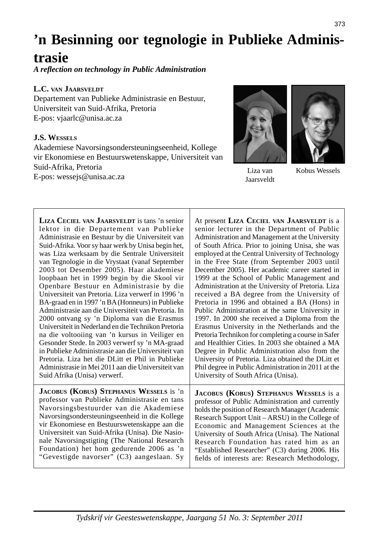# **'n Besinning oor tegnologie in Publieke Adminis-**

## **trasie**

*A refl ection on technology in Public Administration*

## **L.C. VAN JAARSVELDT**

Departement van Publieke Administrasie en Bestuur, Universiteit van Suid-Afrika, Pretoria E-pos: vjaarlc@unisa.ac.za

## **J.S. WESSELS**

Akademiese Navorsingsondersteuningseenheid, Kollege vir Ekonomiese en Bestuurswetenskappe, Universiteit van Suid-Afrika, Pretoria E-pos: wessejs@unisa.ac.za



Jaarsveldt



Liza van Kobus Wessels

**LIZA CECIEL VAN JAARSVELDT** is tans 'n senior lektor in die Departement van Publieke Administrasie en Bestuur by die Universiteit van Suid-Afrika. Voor sy haar werk by Unisa begin het, was Liza werksaam by die Sentrale Universiteit van Tegnologie in die Vrystaat (vanaf September 2003 tot Desember 2005). Haar akademiese loopbaan het in 1999 begin by die Skool vir Openbare Bestuur en Administrasie by die Universiteit van Pretoria. Liza verwerf in 1996 'n BA-graad en in 1997 'n BA (Honneurs) in Publieke Administrasie aan die Universiteit van Pretoria. In 2000 ontvang sy 'n Diploma van die Erasmus Universiteit in Nederland en die Technikon Pretoria na die voltooiing van 'n kursus in Veiliger en Gesonder Stede. In 2003 verwerf sy 'n MA-graad in Publieke Administrasie aan die Universiteit van Pretoria. Liza het die DLitt et Phil in Publieke Administrasie in Mei 2011 aan die Universiteit van Suid Afrika (Unisa) verwerf. **JACOBUS (KOBUS) STEPHANUS WESSELS** is 'n professor van Publieke Administrasie en tans Navorsingsbestuurder van die Akademiese Navorsingsondersteuningseenheid in die Kollege

vir Ekonomiese en Bestuurswetenskappe aan die Universiteit van Suid-Afrika (Unisa). Die Nasionale Navorsingstigting (The National Research Foundation) het hom gedurende 2006 as 'n "Gevestigde navorser" (C3) aangeslaan. Sy At present **LIZA CECIEL VAN JAARSVELDT** is a senior lecturer in the Department of Public Administration and Management at the University of South Africa. Prior to joining Unisa, she was employed at the Central University of Technology in the Free State (from September 2003 until December 2005). Her academic career started in 1999 at the School of Public Management and Administration at the University of Pretoria. Liza received a BA degree from the University of Pretoria in 1996 and obtained a BA (Hons) in Public Administration at the same University in 1997. In 2000 she received a Diploma from the Erasmus University in the Netherlands and the Pretoria Technikon for completing a course in Safer and Healthier Cities. In 2003 she obtained a MA Degree in Public Administration also from the University of Pretoria. Liza obtained the DLitt et Phil degree in Public Administration in 2011 at the University of South Africa (Unisa).

**JACOBUS (KOBUS) STEPHANUS WESSELS** is a professor of Public Administration and currently holds the position of Research Manager (Academic Research Support Unit – ARSU) in the College of Economic and Management Sciences at the University of South Africa (Unisa). The National Research Foundation has rated him as an "Established Researcher" (C3) during 2006. His fields of interests are: Research Methodology,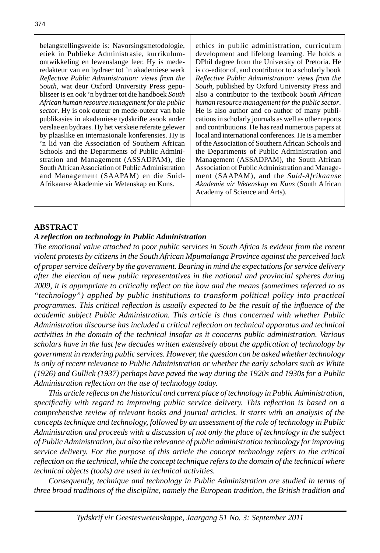belangstellingsvelde is: Navorsingsmetodologie, etiek in Publieke Administrasie, kurrikulumontwikkeling en lewenslange leer. Hy is mederedakteur van en bydraer tot 'n akademiese werk *Refl ective Public Administration: views from the South,* wat deur Oxford University Press gepubliseer is en ook 'n bydraer tot die handboek *South African human resource management for the public sector*. Hy is ook outeur en mede-outeur van baie publikasies in akademiese tydskrifte asook ander verslae en bydraes. Hy het verskeie referate gelewer by plaaslike en internasionale konferensies. Hy is 'n lid van die Association of Southern African Schools and the Departments of Public Administration and Management (ASSADPAM), die South African Association of Public Administration and Management (SAAPAM) en die Suid-Afrikaanse Akademie vir Wetenskap en Kuns*.*

ethics in public administration, curriculum development and lifelong learning. He holds a DPhil degree from the University of Pretoria. He is co-editor of, and contributor to a scholarly book *Refl ective Public Administration: views from the South,* published by Oxford University Press and also a contributor to the textbook *South African human resource management for the public sector*. He is also author and co-author of many publications in scholarly journals as well as other reports and contributions. He has read numerous papers at local and international conferences. He is a member of the Association of Southern African Schools and the Departments of Public Administration and Management (ASSADPAM), the South African Association of Public Administration and Management (SAAPAM), and the *Suid-Afrikaanse Akademie vir Wetenskap en Kuns* (South African Academy of Science and Arts).

## **ABSTRACT**

#### *A refl ection on technology in Public Administration*

*The emotional value attached to poor public services in South Africa is evident from the recent violent protests by citizens in the South African Mpumalanga Province against the perceived lack of proper service delivery by the government. Bearing in mind the expectations for service delivery after the election of new public representatives in the national and provincial spheres during 2009, it is appropriate to critically refl ect on the how and the means (sometimes referred to as "technology") applied by public institutions to transform political policy into practical programmes. This critical reflection is usually expected to be the result of the influence of the academic subject Public Administration. This article is thus concerned with whether Public Administration discourse has included a critical refl ection on technical apparatus and technical activities in the domain of the technical insofar as it concerns public administration. Various scholars have in the last few decades written extensively about the application of technology by government in rendering public services. However, the question can be asked whether technology is only of recent relevance to Public Administration or whether the early scholars such as White (1926) and Gullick (1937) perhaps have paved the way during the 1920s and 1930s for a Public Administration refl ection on the use of technology today.* 

 *This article refl ects on the historical and current place of technology in Public Administration, specifi cally with regard to improving public service delivery. This refl ection is based on a comprehensive review of relevant books and journal articles. It starts with an analysis of the concepts technique and technology, followed by an assessment of the role of technology in Public Administration and proceeds with a discussion of not only the place of technology in the subject of Public Administration, but also the relevance of public administration technology for improving service delivery. For the purpose of this article the concept technology refers to the critical refl ection on the technical, while the concept technique refers to the domain of the technical where technical objects (tools) are used in technical activities.* 

 *Consequently, technique and technology in Public Administration are studied in terms of three broad traditions of the discipline, namely the European tradition, the British tradition and*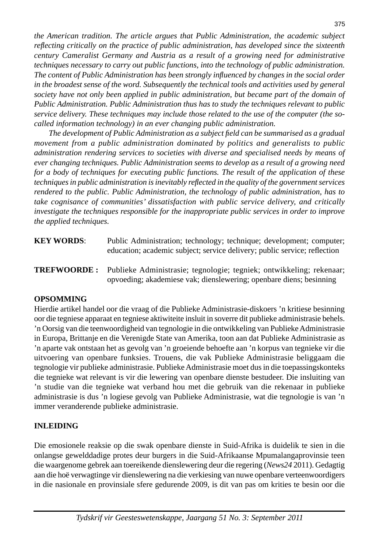*the American tradition. The article argues that Public Administration, the academic subject refl ecting critically on the practice of public administration, has developed since the sixteenth century Cameralist Germany and Austria as a result of a growing need for administrative techniques necessary to carry out public functions, into the technology of public administration. The content of Public Administration has been strongly infl uenced by changes in the social order*  in the broadest sense of the word. Subsequently the technical tools and activities used by general society have not only been applied in public administration, but became part of the domain of *Public Administration. Public Administration thus has to study the techniques relevant to public service delivery. These techniques may include those related to the use of the computer (the socalled information technology) in an ever changing public administration.* 

 *The development of Public Administration as a subject fi eld can be summarised as a gradual movement from a public administration dominated by politics and generalists to public administration rendering services to societies with diverse and specialised needs by means of ever changing techniques. Public Administration seems to develop as a result of a growing need for a body of techniques for executing public functions. The result of the application of these techniques in public administration is inevitably refl ected in the quality of the government services rendered to the public. Public Administration, the technology of public administration, has to take cognisance of communities' dissatisfaction with public service delivery, and critically investigate the techniques responsible for the inappropriate public services in order to improve the applied techniques.*

- **KEY WORDS:** Public Administration; technology; technique; development; computer; education; academic subject; service delivery; public service; reflection
- **TREFWOORDE :** Publieke Administrasie; tegnologie; tegniek; ontwikkeling; rekenaar; opvoeding; akademiese vak; dienslewering; openbare diens; besinning

#### **OPSOMMING**

Hierdie artikel handel oor die vraag of die Publieke Administrasie-diskoers 'n kritiese besinning oor die tegniese apparaat en tegniese aktiwiteite insluit in soverre dit publieke administrasie behels. 'n Oorsig van die teenwoordigheid van tegnologie in die ontwikkeling van Publieke Administrasie in Europa, Brittanje en die Verenigde State van Amerika, toon aan dat Publieke Administrasie as 'n aparte vak ontstaan het as gevolg van 'n groeiende behoefte aan 'n korpus van tegnieke vir die uitvoering van openbare funksies. Trouens, die vak Publieke Administrasie beliggaam die tegnologie vir publieke administrasie. Publieke Administrasie moet dus in die toepassingskonteks die tegnieke wat relevant is vir die lewering van openbare dienste bestudeer. Die insluiting van 'n studie van die tegnieke wat verband hou met die gebruik van die rekenaar in publieke administrasie is dus 'n logiese gevolg van Publieke Administrasie, wat die tegnologie is van 'n immer veranderende publieke administrasie.

#### **INLEIDING**

Die emosionele reaksie op die swak openbare dienste in Suid-Afrika is duidelik te sien in die onlangse gewelddadige protes deur burgers in die Suid-Afrikaanse Mpumalangaprovinsie teen die waargenome gebrek aan toereikende dienslewering deur die regering (*News24* 2011). Gedagtig aan die hoë verwagtinge vir dienslewering na die verkiesing van nuwe openbare verteenwoordigers in die nasionale en provinsiale sfere gedurende 2009, is dit van pas om krities te besin oor die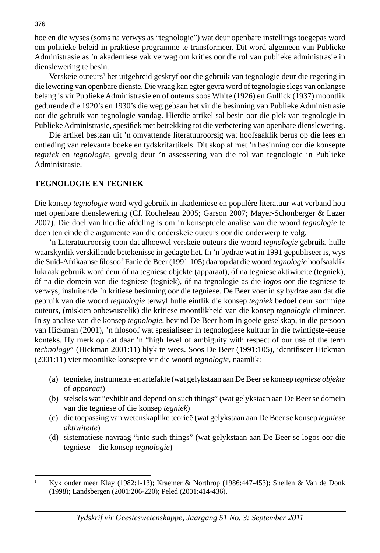hoe en die wyses (soms na verwys as "tegnologie") wat deur openbare instellings toegepas word om politieke beleid in praktiese programme te transformeer. Dit word algemeen van Publieke Administrasie as 'n akademiese vak verwag om krities oor die rol van publieke administrasie in dienslewering te besin.

Verskeie outeurs<sup>1</sup> het uitgebreid geskryf oor die gebruik van tegnologie deur die regering in die lewering van openbare dienste. Die vraag kan egter gevra word of tegnologie slegs van onlangse belang is vir Publieke Administrasie en of outeurs soos White (1926) en Gullick (1937) moontlik gedurende die 1920's en 1930's die weg gebaan het vir die besinning van Publieke Administrasie oor die gebruik van tegnologie vandag. Hierdie artikel sal besin oor die plek van tegnologie in Publieke Administrasie, spesifiek met betrekking tot die verbetering van openbare dienslewering.

 Die artikel bestaan uit 'n omvattende literatuuroorsig wat hoofsaaklik berus op die lees en ontleding van relevante boeke en tydskrifartikels. Dit skop af met 'n besinning oor die konsepte *tegniek* en *tegnologie*, gevolg deur 'n assessering van die rol van tegnologie in Publieke Administrasie.

#### **TEGNOLOGIE EN TEGNIEK**

Die konsep *tegnologie* word wyd gebruik in akademiese en populêre literatuur wat verband hou met openbare dienslewering (Cf. Rocheleau 2005; Garson 2007; Mayer-Schonberger & Lazer 2007). Die doel van hierdie afdeling is om 'n konseptuele analise van die woord *tegnologie* te doen ten einde die argumente van die onderskeie outeurs oor die onderwerp te volg.

 'n Literatuuroorsig toon dat alhoewel verskeie outeurs die woord *tegnologie* gebruik, hulle waarskynlik verskillende betekenisse in gedagte het. In 'n bydrae wat in 1991 gepubliseer is, wys die Suid-Afrikaanse filosoof Fanie de Beer (1991:105) daarop dat die woord *tegnologie* hoofsaaklik lukraak gebruik word deur óf na tegniese objekte (apparaat), óf na tegniese aktiwiteite (tegniek), óf na die domein van die tegniese (tegniek), óf na tegnologie as die *logos* oor die tegniese te verwys, insluitende 'n kritiese besinning oor die tegniese. De Beer voer in sy bydrae aan dat die gebruik van die woord *tegnologie* terwyl hulle eintlik die konsep *tegniek* bedoel deur sommige outeurs, (miskien onbewustelik) die kritiese moontlikheid van die konsep *tegnologie* elimineer. In sy analise van die konsep *tegnologie*, bevind De Beer hom in goeie geselskap, in die persoon van Hickman (2001), 'n filosoof wat spesialiseer in tegnologiese kultuur in die twintigste-eeuse konteks. Hy merk op dat daar 'n "high level of ambiguity with respect of our use of the term *technology*" (Hickman 2001:11) blyk te wees. Soos De Beer (1991:105), identifiseer Hickman (2001:11) vier moontlike konsepte vir die woord *tegnologie*, naamlik:

- (a) tegnieke, instrumente en artefakte (wat gelykstaan aan De Beer se konsep *tegniese objekte* of *apparaat*)
- (b) stelsels wat "exhibit and depend on such things" (wat gelykstaan aan De Beer se domein van die tegniese of die konsep *tegniek*)
- (c) die toepassing van wetenskaplike teorieë (wat gelykstaan aan De Beer se konsep *tegniese aktiwiteite*)
- (d) sistematiese navraag "into such things" (wat gelykstaan aan De Beer se logos oor die tegniese – die konsep *tegnologie*)

<sup>1</sup> Kyk onder meer Klay (1982:1-13); Kraemer & Northrop (1986:447-453); Snellen & Van de Donk (1998); Landsbergen (2001:206-220); Peled (2001:414-436).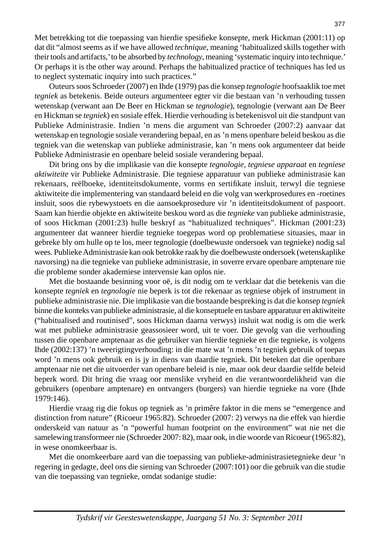Met betrekking tot die toepassing van hierdie spesifieke konsepte, merk Hickman (2001:11) op dat dit "almost seems as if we have allowed *technique*, meaning 'habitualized skills together with their tools and artifacts,' to be absorbed by *technology*, meaning 'systematic inquiry into technique.' Or perhaps it is the other way around. Perhaps the habitualized practice of techniques has led us to neglect systematic inquiry into such practices."

 Outeurs soos Schroeder (2007) en Ihde (1979) pas die konsep *tegnologie* hoofsaaklik toe met *tegniek* as betekenis. Beide outeurs argumenteer egter vir die bestaan van 'n verhouding tussen wetenskap (verwant aan De Beer en Hickman se *tegnologie*), tegnologie (verwant aan De Beer en Hickman se *tegniek*) en sosiale effek. Hierdie verhouding is betekenisvol uit die standpunt van Publieke Administrasie. Indien 'n mens die argument van Schroeder (2007:2) aanvaar dat wetenskap en tegnologie sosiale verandering bepaal, en as 'n mens openbare beleid beskou as die tegniek van die wetenskap van publieke administrasie, kan 'n mens ook argumenteer dat beide Publieke Administrasie en openbare beleid sosiale verandering bepaal.

 Dit bring ons by die implikasie van die konsepte *tegnologie*, *tegniese apparaat* en *tegniese aktiwiteite* vir Publieke Administrasie. Die tegniese apparatuur van publieke administrasie kan rekenaars, reëlboeke, identiteitsdokumente, vorms en sertifikate insluit, terwyl die tegniese aktiwiteite die implementering van standaard beleid en die volg van werkprosedures en -roetines insluit, soos die rybewystoets en die aansoekprosedure vir 'n identiteitsdokument of paspoort. Saam kan hierdie objekte en aktiwiteite beskou word as die *tegnieke* van publieke administrasie, of soos Hickman (2001:23) hulle beskryf as "habitualized techniques". Hickman (2001:23) argumenteer dat wanneer hierdie tegnieke toegepas word op problematiese situasies, maar in gebreke bly om hulle op te los, meer tegnologie (doelbewuste ondersoek van tegnieke) nodig sal wees. Publieke Administrasie kan ook betrokke raak by die doelbewuste ondersoek (wetenskaplike navorsing) na die tegnieke van publieke administrasie, in soverre ervare openbare amptenare nie die probleme sonder akademiese intervensie kan oplos nie.

 Met die bostaande besinning voor oë, is dit nodig om te verklaar dat die betekenis van die konsepte *tegniek* en *tegnologie* nie beperk is tot die rekenaar as tegniese objek of instrument in publieke administrasie nie. Die implikasie van die bostaande bespreking is dat die konsep *tegniek* binne die konteks van publieke administrasie, al die konseptuele en tasbare apparatuur en aktiwiteite ("habitualised and routinised", soos Hickman daarna verwys) insluit wat nodig is om die werk wat met publieke administrasie geassosieer word, uit te voer. Die gevolg van die verhouding tussen die openbare amptenaar as die gebruiker van hierdie tegnieke en die tegnieke, is volgens Ihde (2002:137) 'n tweerigtingverhouding: in die mate wat 'n mens 'n tegniek gebruik of toepas word 'n mens ook gebruik en is jy in diens van daardie tegniek. Dit beteken dat die openbare amptenaar nie net die uitvoerder van openbare beleid is nie, maar ook deur daardie selfde beleid beperk word. Dit bring die vraag oor menslike vryheid en die verantwoordelikheid van die gebruikers (openbare amptenare) en ontvangers (burgers) van hierdie tegnieke na vore (Ihde 1979:146).

 Hierdie vraag rig die fokus op tegniek as 'n primêre faktor in die mens se "emergence and distinction from nature" (Ricoeur 1965:82). Schroeder (2007: 2) verwys na die effek van hierdie onderskeid van natuur as 'n "powerful human footprint on the environment" wat nie net die samelewing transformeer nie (Schroeder 2007: 82), maar ook, in die woorde van Ricoeur (1965:82), in wese onomkeerbaar is.

 Met die onomkeerbare aard van die toepassing van publieke-administrasietegnieke deur 'n regering in gedagte, deel ons die siening van Schroeder (2007:101) oor die gebruik van die studie van die toepassing van tegnieke, omdat sodanige studie: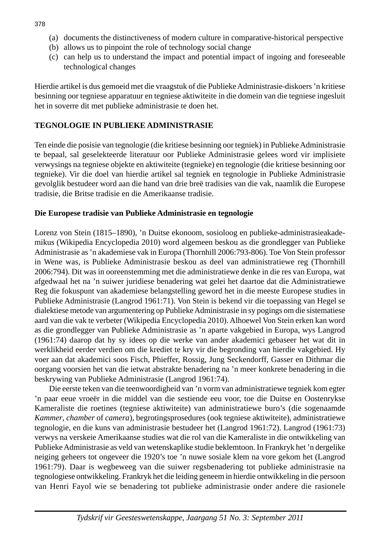- (a) documents the distinctiveness of modern culture in comparative-historical perspective
- (b) allows us to pinpoint the role of technology social change
- (c) can help us to understand the impact and potential impact of ingoing and foreseeable technological changes

Hierdie artikel is dus gemoeid met die vraagstuk of die Publieke Administrasie-diskoers 'n kritiese besinning oor tegniese apparatuur en tegniese aktiwiteite in die domein van die tegniese ingesluit het in soverre dit met publieke administrasie te doen het.

#### **TEGNOLOGIE IN PUBLIEKE ADMINISTRASIE**

Ten einde die posisie van tegnologie (die kritiese besinning oor tegniek) in Publieke Administrasie te bepaal, sal geselekteerde literatuur oor Publieke Administrasie gelees word vir implisiete verwysings na tegniese objekte en aktiwiteite (tegnieke) en tegnologie (die kritiese besinning oor tegnieke). Vir die doel van hierdie artikel sal tegniek en tegnologie in Publieke Administrasie gevolglik bestudeer word aan die hand van drie breë tradisies van die vak, naamlik die Europese tradisie, die Britse tradisie en die Amerikaanse tradisie.

#### **Die Europese tradisie van Publieke Administrasie en tegnologie**

Lorenz von Stein (1815–1890), 'n Duitse ekonoom, sosioloog en publieke-administrasieakademikus (Wikipedia Encyclopedia 2010) word algemeen beskou as die grondlegger van Publieke Administrasie as 'n akademiese vak in Europa (Thornhill 2006:793-806). Toe Von Stein professor in Wene was, is Publieke Administrasie beskou as deel van administratiewe reg (Thornhill 2006:794). Dit was in ooreenstemming met die administratiewe denke in die res van Europa, wat afgedwaal het na 'n suiwer juridiese benadering wat gelei het daartoe dat die Administratiewe Reg die fokuspunt van akademiese belangstelling geword het in die meeste Europese studies in Publieke Administrasie (Langrod 1961:71). Von Stein is bekend vir die toepassing van Hegel se dialektiese metode van argumentering op Publieke Administrasie in sy pogings om die sistematiese aard van die vak te verbeter (Wikipedia Encyclopedia 2010). Alhoewel Von Stein erken kan word as die grondlegger van Publieke Administrasie as 'n aparte vakgebied in Europa, wys Langrod (1961:74) daarop dat hy sy idees op die werke van ander akademici gebaseer het wat dit in werklikheid eerder verdien om die krediet te kry vir die begronding van hierdie vakgebied. Hy voer aan dat akademici soos Fisch, Phieffer, Rossig, Jung Seckendorff, Gasser en Dithmar die oorgang voorsien het van die ietwat abstrakte benadering na 'n meer konkrete benadering in die beskrywing van Publieke Administrasie (Langrod 1961:74).

 Die eerste teken van die teenwoordigheid van 'n vorm van administratiewe tegniek kom egter 'n paar eeue vroeër in die middel van die sestiende eeu voor, toe die Duitse en Oostenrykse Kameraliste die roetines (tegniese aktiwiteite) van administratiewe buro's (die sogenaamde *Kammer*, *chamber* of *camera*), begrotingsprosedures (ook tegniese aktiwiteite), administratiewe tegnologie, en die kuns van administrasie bestudeer het (Langrod 1961:72). Langrod (1961:73) verwys na verskeie Amerikaanse studies wat die rol van die Kameraliste in die ontwikkeling van Publieke Administrasie as veld van wetenskaplike studie beklemtoon. In Frankryk het 'n dergelike neiging geheers tot ongeveer die 1920's toe 'n nuwe sosiale klem na vore gekom het (Langrod 1961:79). Daar is wegbeweeg van die suiwer regsbenadering tot publieke administrasie na tegnologiese ontwikkeling. Frankryk het die leiding geneem in hierdie ontwikkeling in die persoon van Henri Fayol wie se benadering tot publieke administrasie onder andere die rasionele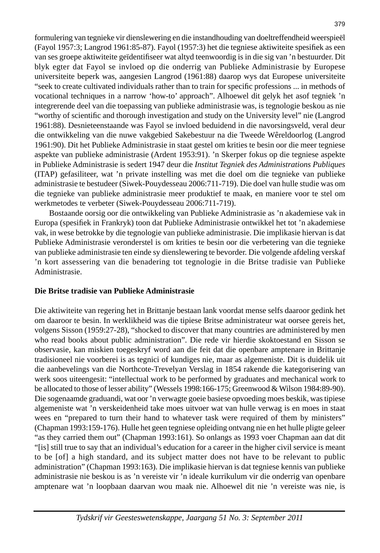formulering van tegnieke vir dienslewering en die instandhouding van doeltreffendheid weerspieël (Fayol 1957:3; Langrod 1961:85-87). Fayol (1957:3) het die tegniese aktiwiteite spesifiek as een van ses groepe aktiwiteite geïdentifiseer wat altyd teenwoordig is in die sig van 'n bestuurder. Dit blyk egter dat Fayol se invloed op die onderrig van Publieke Administrasie by Europese universiteite beperk was, aangesien Langrod (1961:88) daarop wys dat Europese universiteite "seek to create cultivated individuals rather than to train for specific professions ... in methods of vocational techniques in a narrow 'how-to' approach". Alhoewel dit gelyk het asof tegniek 'n integrerende deel van die toepassing van publieke administrasie was, is tegnologie beskou as nie "worthy of scientific and thorough investigation and study on the University level" nie (Langrod 1961:88). Desnieteenstaande was Fayol se invloed beduidend in die navorsingsveld, veral deur die ontwikkeling van die nuwe vakgebied Sakebestuur na die Tweede Wêreldoorlog (Langrod 1961:90). Dit het Publieke Administrasie in staat gestel om krities te besin oor die meer tegniese aspekte van publieke administrasie (Ardent 1953:91). 'n Skerper fokus op die tegniese aspekte in Publieke Administrasie is sedert 1947 deur die *Institut Tegniek des Administrations Publiques* (ITAP) gefasiliteer, wat 'n private instelling was met die doel om die tegnieke van publieke administrasie te bestudeer (Siwek-Pouydesseau 2006:711-719). Die doel van hulle studie was om die tegnieke van publieke administrasie meer produktief te maak, en maniere voor te stel om werkmetodes te verbeter (Siwek-Pouydesseau 2006:711-719).

 Bostaande oorsig oor die ontwikkeling van Publieke Administrasie as 'n akademiese vak in Europa (spesifiek in Frankryk) toon dat Publieke Administrasie ontwikkel het tot 'n akademiese vak, in wese betrokke by die tegnologie van publieke administrasie. Die implikasie hiervan is dat Publieke Administrasie veronderstel is om krities te besin oor die verbetering van die tegnieke van publieke administrasie ten einde sy dienslewering te bevorder. Die volgende afdeling verskaf 'n kort assessering van die benadering tot tegnologie in die Britse tradisie van Publieke Administrasie.

#### **Die Britse tradisie van Publieke Administrasie**

Die aktiwiteite van regering het in Brittanje bestaan lank voordat mense selfs daaroor gedink het om daaroor te besin. In werklikheid was die tipiese Britse administrateur wat oorsee gereis het, volgens Sisson (1959:27-28), "shocked to discover that many countries are administered by men who read books about public administration". Die rede vir hierdie skoktoestand en Sisson se observasie, kan miskien toegeskryf word aan die feit dat die openbare amptenare in Brittanje tradisioneel nie voorberei is as tegnici of kundiges nie, maar as algemeniste. Dit is duidelik uit die aanbevelings van die Northcote-Trevelyan Verslag in 1854 rakende die kategorisering van werk soos uiteengesit: "intellectual work to be performed by graduates and mechanical work to be allocated to those of lesser ability" (Wessels 1998:166-175; Greenwood & Wilson 1984:89-90). Die sogenaamde graduandi, wat oor 'n verwagte goeie basiese opvoeding moes beskik, was tipiese algemeniste wat 'n verskeidenheid take moes uitvoer wat van hulle verwag is en moes in staat wees en "prepared to turn their hand to whatever task were required of them by ministers" (Chapman 1993:159-176). Hulle het geen tegniese opleiding ontvang nie en het hulle pligte geleer "as they carried them out" (Chapman 1993:161). So onlangs as 1993 voer Chapman aan dat dit "[is] still true to say that an individual's education for a career in the higher civil service is meant to be [of] a high standard, and its subject matter does not have to be relevant to public administration" (Chapman 1993:163). Die implikasie hiervan is dat tegniese kennis van publieke administrasie nie beskou is as 'n vereiste vir 'n ideale kurrikulum vir die onderrig van openbare amptenare wat 'n loopbaan daarvan wou maak nie. Alhoewel dit nie 'n vereiste was nie, is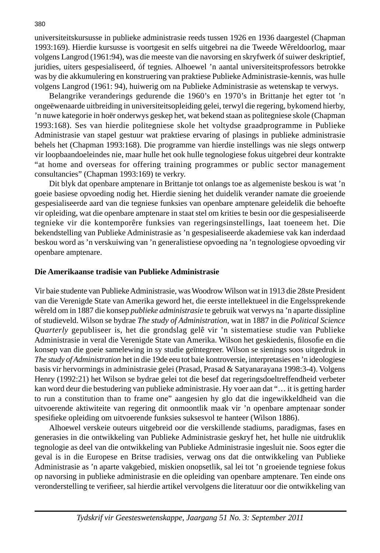universiteitskursusse in publieke administrasie reeds tussen 1926 en 1936 daargestel (Chapman 1993:169). Hierdie kursusse is voortgesit en selfs uitgebrei na die Tweede Wêreldoorlog, maar volgens Langrod (1961:94), was die meeste van die navorsing en skryfwerk óf suiwer deskriptief, juridies, uiters gespesialiseerd, óf tegnies. Alhoewel 'n aantal universiteitsprofessors betrokke was by die akkumulering en konstruering van praktiese Publieke Administrasie-kennis, was hulle volgens Langrod (1961: 94), huiwerig om na Publieke Administrasie as wetenskap te verwys.

 Belangrike veranderings gedurende die 1960's en 1970's in Brittanje het egter tot 'n ongeëwenaarde uitbreiding in universiteitsopleiding gelei, terwyl die regering, bykomend hierby, 'n nuwe kategorie in hoër onderwys geskep het, wat bekend staan as politegniese skole (Chapman 1993:168). Ses van hierdie politegniese skole het voltydse graadprogramme in Publieke Administrasie van stapel gestuur wat praktiese ervaring of plasings in publieke administrasie behels het (Chapman 1993:168). Die programme van hierdie instellings was nie slegs ontwerp vir loopbaandoeleindes nie, maar hulle het ook hulle tegnologiese fokus uitgebrei deur kontrakte "at home and overseas for offering training programmes or public sector management consultancies" (Chapman 1993:169) te verkry.

 Dit blyk dat openbare amptenare in Brittanje tot onlangs toe as algemeniste beskou is wat 'n goeie basiese opvoeding nodig het. Hierdie siening het duidelik verander namate die groeiende gespesialiseerde aard van die tegniese funksies van openbare amptenare geleidelik die behoefte vir opleiding, wat die openbare amptenare in staat stel om krities te besin oor die gespesialiseerde tegnieke vir die kontemporêre funksies van regeringsinstellings, laat toeneem het. Die bekendstelling van Publieke Administrasie as 'n gespesialiseerde akademiese vak kan inderdaad beskou word as 'n verskuiwing van 'n generalistiese opvoeding na 'n tegnologiese opvoeding vir openbare amptenare.

#### **Die Amerikaanse tradisie van Publieke Administrasie**

Vir baie studente van Publieke Administrasie, was Woodrow Wilson wat in 1913 die 28ste President van die Verenigde State van Amerika geword het, die eerste intellektueel in die Engelssprekende wêreld om in 1887 die konsep *publieke administrasie* te gebruik wat verwys na 'n aparte dissipline of studieveld. Wilson se bydrae *The study of Administration*, wat in 1887 in die *Political Science Quarterly* gepubliseer is, het die grondslag gelê vir 'n sistematiese studie van Publieke Administrasie in veral die Verenigde State van Amerika. Wilson het geskiedenis, filosofie en die konsep van die goeie samelewing in sy studie geïntegreer. Wilson se sienings soos uitgedruk in *The study of Administration* het in die 19de eeu tot baie kontroversie, interpretasies en 'n ideologiese basis vir hervormings in administrasie gelei (Prasad, Prasad & Satyanarayana 1998:3-4). Volgens Henry (1992:21) het Wilson se bydrae gelei tot die besef dat regeringsdoeltreffendheid verbeter kan word deur die bestudering van publieke administrasie. Hy voer aan dat "… it is getting harder to run a constitution than to frame one" aangesien hy glo dat die ingewikkeldheid van die uitvoerende aktiwiteite van regering dit onmoontlik maak vir 'n openbare amptenaar sonder spesifieke opleiding om uitvoerende funksies suksesvol te hanteer (Wilson 1886).

 Alhoewel verskeie outeurs uitgebreid oor die verskillende stadiums, paradigmas, fases en generasies in die ontwikkeling van Publieke Administrasie geskryf het, het hulle nie uitdruklik tegnologie as deel van die ontwikkeling van Publieke Administrasie ingesluit nie. Soos egter die geval is in die Europese en Britse tradisies, verwag ons dat die ontwikkeling van Publieke Administrasie as 'n aparte vakgebied, miskien onopsetlik, sal lei tot 'n groeiende tegniese fokus op navorsing in publieke administrasie en die opleiding van openbare amptenare. Ten einde ons veronderstelling te verifieer, sal hierdie artikel vervolgens die literatuur oor die ontwikkeling van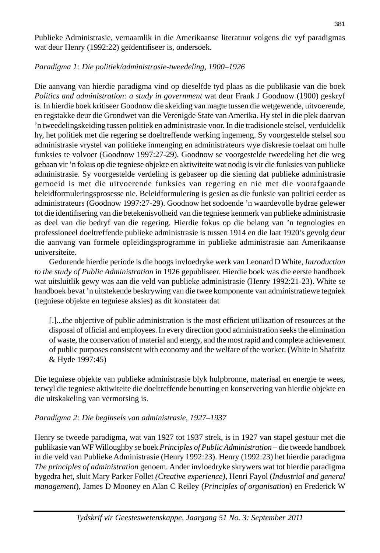Publieke Administrasie, vernaamlik in die Amerikaanse literatuur volgens die vyf paradigmas wat deur Henry (1992:22) geïdentifiseer is, ondersoek.

## *Paradigma 1: Die politiek/administrasie-tweedeling, 1900–1926*

Die aanvang van hierdie paradigma vind op dieselfde tyd plaas as die publikasie van die boek *Politics and administration: a study in government* wat deur Frank J Goodnow (1900) geskryf is. In hierdie boek kritiseer Goodnow die skeiding van magte tussen die wetgewende, uitvoerende, en regstakke deur die Grondwet van die Verenigde State van Amerika. Hy stel in die plek daarvan 'n tweedelingskeiding tussen politiek en administrasie voor. In die tradisionele stelsel, verduidelik hy, het politiek met die regering se doeltreffende werking ingemeng. Sy voorgestelde stelsel sou administrasie vrystel van politieke inmenging en administrateurs wye diskresie toelaat om hulle funksies te volvoer (Goodnow 1997:27-29). Goodnow se voorgestelde tweedeling het die weg gebaan vir 'n fokus op die tegniese objekte en aktiwiteite wat nodig is vir die funksies van publieke administrasie. Sy voorgestelde verdeling is gebaseer op die siening dat publieke administrasie gemoeid is met die uitvoerende funksies van regering en nie met die voorafgaande beleidformuleringsprosesse nie. Beleidformulering is gesien as die funksie van politici eerder as administrateurs (Goodnow 1997:27-29). Goodnow het sodoende 'n waardevolle bydrae gelewer tot die identifisering van die betekenisvolheid van die tegniese kenmerk van publieke administrasie as deel van die bedryf van die regering. Hierdie fokus op die belang van 'n tegnologies en professioneel doeltreffende publieke administrasie is tussen 1914 en die laat 1920's gevolg deur die aanvang van formele opleidingsprogramme in publieke administrasie aan Amerikaanse universiteite.

 Gedurende hierdie periode is die hoogs invloedryke werk van Leonard D White, *Introduction to the study of Public Administration* in 1926 gepubliseer. Hierdie boek was die eerste handboek wat uitsluitlik gewy was aan die veld van publieke administrasie (Henry 1992:21-23). White se handboek bevat 'n uitstekende beskrywing van die twee komponente van administratiewe tegniek (tegniese objekte en tegniese aksies) as dit konstateer dat

[.]...the objective of public administration is the most efficient utilization of resources at the disposal of official and employees. In every direction good administration seeks the elimination of waste, the conservation of material and energy, and the most rapid and complete achievement of public purposes consistent with economy and the welfare of the worker. (White in Shafritz & Hyde 1997:45)

Die tegniese objekte van publieke administrasie blyk hulpbronne, materiaal en energie te wees, terwyl die tegniese aktiwiteite die doeltreffende benutting en konservering van hierdie objekte en die uitskakeling van vermorsing is.

## *Paradigma 2: Die beginsels van administrasie, 1927–1937*

Henry se tweede paradigma, wat van 1927 tot 1937 strek, is in 1927 van stapel gestuur met die publikasie van WF Willoughby se boek *Principles of Public Administration* – die tweede handboek in die veld van Publieke Administrasie (Henry 1992:23). Henry (1992:23) het hierdie paradigma *The principles of administration* genoem. Ander invloedryke skrywers wat tot hierdie paradigma bygedra het, sluit Mary Parker Follet *(Creative experience),* Henri Fayol (*Industrial and general management*), James D Mooney en Alan C Reiley (*Principles of organisation*) en Frederick W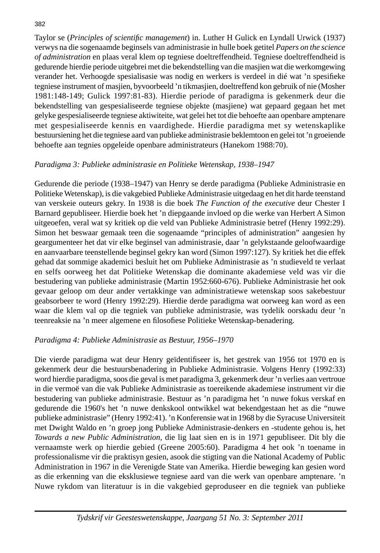Taylor se (*Principles of scientifi c management*) in. Luther H Gulick en Lyndall Urwick (1937) verwys na die sogenaamde beginsels van administrasie in hulle boek getitel *Papers on the science of administration* en plaas veral klem op tegniese doeltreffendheid. Tegniese doeltreffendheid is gedurende hierdie periode uitgebrei met die bekendstelling van die masjien wat die werkomgewing verander het. Verhoogde spesialisasie was nodig en werkers is verdeel in dié wat 'n spesifieke tegniese instrument of masjien, byvoorbeeld 'n tikmasjien, doeltreffend kon gebruik of nie (Mosher 1981:148-149; Gulick 1997:81-83). Hierdie periode of paradigma is gekenmerk deur die bekendstelling van gespesialiseerde tegniese objekte (masjiene) wat gepaard gegaan het met gelyke gespesialiseerde tegniese aktiwiteite, wat gelei het tot die behoefte aan openbare amptenare met gespesialiseerde kennis en vaardighede. Hierdie paradigma met sy wetenskaplike bestuursiening het die tegniese aard van publieke administrasie beklemtoon en gelei tot 'n groeiende behoefte aan tegnies opgeleide openbare administrateurs (Hanekom 1988:70).

## *Paradigma 3: Publieke administrasie en Politieke Wetenskap, 1938–1947*

Gedurende die periode (1938–1947) van Henry se derde paradigma (Publieke Administrasie en Politieke Wetenskap), is die vakgebied Publieke Administrasie uitgedaag en het dit harde teenstand van verskeie outeurs gekry. In 1938 is die boek *The Function of the executive* deur Chester I Barnard gepubliseer. Hierdie boek het 'n diepgaande invloed op die werke van Herbert A Simon uitgeoefen, veral wat sy kritiek op die veld van Publieke Administrasie betref (Henry 1992:29). Simon het beswaar gemaak teen die sogenaamde "principles of administration" aangesien hy geargumenteer het dat vir elke beginsel van administrasie, daar 'n gelykstaande geloofwaardige en aanvaarbare teenstellende beginsel gekry kan word (Simon 1997:127). Sy kritiek het die effek gehad dat sommige akademici besluit het om Publieke Administrasie as 'n studieveld te verlaat en selfs oorweeg het dat Politieke Wetenskap die dominante akademiese veld was vir die bestudering van publieke administrasie (Martin 1952:660-676). Publieke Administrasie het ook gevaar geloop om deur ander vertakkinge van administratiewe wetenskap soos sakebestuur geabsorbeer te word (Henry 1992:29). Hierdie derde paradigma wat oorweeg kan word as een waar die klem val op die tegniek van publieke administrasie, was tydelik oorskadu deur 'n teenreaksie na 'n meer algemene en filosofiese Politieke Wetenskap-benadering.

## *Paradigma 4: Publieke Administrasie as Bestuur, 1956–1970*

Die vierde paradigma wat deur Henry geïdentifiseer is, het gestrek van 1956 tot 1970 en is gekenmerk deur die bestuursbenadering in Publieke Administrasie. Volgens Henry (1992:33) word hierdie paradigma, soos die geval is met paradigma 3, gekenmerk deur 'n verlies aan vertroue in die vermoë van die vak Publieke Administrasie as toereikende akademiese instrument vir die bestudering van publieke administrasie. Bestuur as 'n paradigma het 'n nuwe fokus verskaf en gedurende die 1960's het 'n nuwe denkskool ontwikkel wat bekendgestaan het as die "nuwe publieke administrasie" (Henry 1992:41). 'n Konferensie wat in 1968 by die Syracuse Universiteit met Dwight Waldo en 'n groep jong Publieke Administrasie-denkers en -studente gehou is, het *Towards a new Public Administration,* die lig laat sien en is in 1971 gepubliseer. Dit bly die vernaamste werk op hierdie gebied (Greene 2005:60). Paradigma 4 het ook 'n toename in professionalisme vir die praktisyn gesien, asook die stigting van die National Academy of Public Administration in 1967 in die Verenigde State van Amerika. Hierdie beweging kan gesien word as die erkenning van die eksklusiewe tegniese aard van die werk van openbare amptenare. 'n Nuwe rykdom van literatuur is in die vakgebied geproduseer en die tegniek van publieke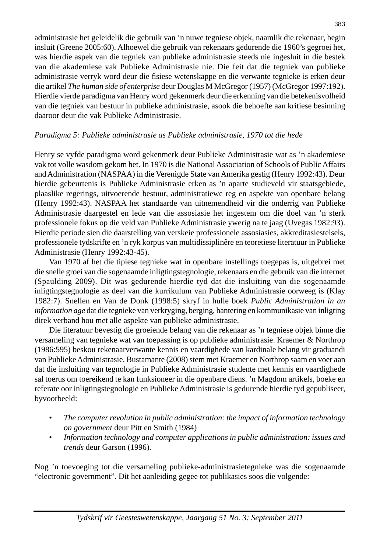administrasie het geleidelik die gebruik van 'n nuwe tegniese objek, naamlik die rekenaar, begin insluit (Greene 2005:60). Alhoewel die gebruik van rekenaars gedurende die 1960's gegroei het, was hierdie aspek van die tegniek van publieke administrasie steeds nie ingesluit in die bestek van die akademiese vak Publieke Administrasie nie. Die feit dat die tegniek van publieke administrasie verryk word deur die fisiese wetenskappe en die verwante tegnieke is erken deur die artikel *The human side of enterprise* deur Douglas M McGregor (1957) (McGregor 1997:192). Hierdie vierde paradigma van Henry word gekenmerk deur die erkenning van die betekenisvolheid van die tegniek van bestuur in publieke administrasie, asook die behoefte aan kritiese besinning daaroor deur die vak Publieke Administrasie.

## *Paradigma 5: Publieke administrasie as Publieke administrasie, 1970 tot die hede*

Henry se vyfde paradigma word gekenmerk deur Publieke Administrasie wat as 'n akademiese vak tot volle wasdom gekom het. In 1970 is die National Association of Schools of Public Affairs and Administration (NASPAA) in die Verenigde State van Amerika gestig (Henry 1992:43). Deur hierdie gebeurtenis is Publieke Administrasie erken as 'n aparte studieveld vir staatsgebiede, plaaslike regerings, uitvoerende bestuur, administratiewe reg en aspekte van openbare belang (Henry 1992:43). NASPAA het standaarde van uitnemendheid vir die onderrig van Publieke Administrasie daargestel en lede van die assosiasie het ingestem om die doel van 'n sterk professionele fokus op die veld van Publieke Administrasie ywerig na te jaag (Uvegas 1982:93). Hierdie periode sien die daarstelling van verskeie professionele assosiasies, akkreditasiestelsels, professionele tydskrifte en 'n ryk korpus van multidissiplinêre en teoretiese literatuur in Publieke Administrasie (Henry 1992:43-45).

 Van 1970 af het die tipiese tegnieke wat in openbare instellings toegepas is, uitgebrei met die snelle groei van die sogenaamde inligtingstegnologie, rekenaars en die gebruik van die internet (Spaulding 2009). Dit was gedurende hierdie tyd dat die insluiting van die sogenaamde inligtingstegnologie as deel van die kurrikulum van Publieke Administrasie oorweeg is (Klay 1982:7). Snellen en Van de Donk (1998:5) skryf in hulle boek *Public Administration in an information age* dat die tegnieke van verkryging, berging, hantering en kommunikasie van inligting direk verband hou met alle aspekte van publieke administrasie.

 Die literatuur bevestig die groeiende belang van die rekenaar as 'n tegniese objek binne die versameling van tegnieke wat van toepassing is op publieke administrasie. Kraemer & Northrop (1986:595) beskou rekenaarverwante kennis en vaardighede van kardinale belang vir graduandi van Publieke Administrasie. Bustamante (2008) stem met Kraemer en Northrop saam en voer aan dat die insluiting van tegnologie in Publieke Administrasie studente met kennis en vaardighede sal toerus om toereikend te kan funksioneer in die openbare diens. 'n Magdom artikels, boeke en referate oor inligtingstegnologie en Publieke Administrasie is gedurende hierdie tyd gepubliseer, byvoorbeeld:

- *The computer revolution in public administration: the impact of information technology on government* deur Pitt en Smith (1984)
- *Information technology and computer applications in public administration: issues and trends* deur Garson (1996).

Nog 'n toevoeging tot die versameling publieke-administrasietegnieke was die sogenaamde "electronic government". Dit het aanleiding gegee tot publikasies soos die volgende: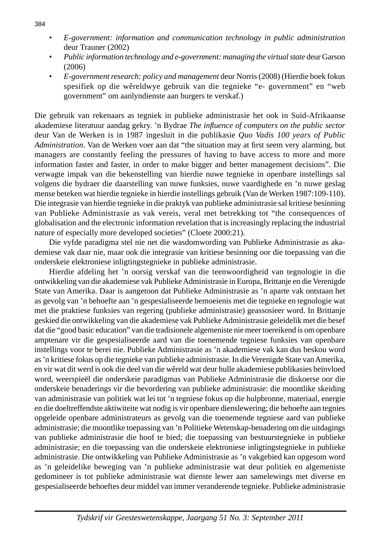- *E-government: information and communication technology in public administration*  deur Trauner (2002)
- *Public information technology and e-government: managing the virtual state* deur Garson (2006)
- *E-government research: policy and management* deur Norris (2008) (Hierdie boek fokus spesifiek op die wêreldwye gebruik van die tegnieke "e- government" en "web government" om aanlyndienste aan burgers te verskaf.)

Die gebruik van rekenaars as tegniek in publieke administrasie het ook in Suid-Afrikaanse akademiese literatuur aandag gekry. 'n Bydrae *The infl uence of computers on the public sector* deur Van de Werken is in 1987 ingesluit in die publikasie *Quo Vadis 100 years of Public Administration*. Van de Werken voer aan dat "the situation may at first seem very alarming, but managers are constantly feeling the pressures of having to have access to more and more information faster and faster, in order to make bigger and better management decisions". Die verwagte impak van die bekenstelling van hierdie nuwe tegnieke in openbare instellings sal volgens die bydraer die daarstelling van nuwe funksies, nuwe vaardighede en 'n nuwe geslag mense beteken wat hierdie tegnieke in hierdie instellings gebruik (Van de Werken 1987:109-110). Die integrasie van hierdie tegnieke in die praktyk van publieke administrasie sal kritiese besinning van Publieke Administrasie as vak vereis, veral met betrekking tot "the consequences of globalisation and the electronic information revelation that is increasingly replacing the industrial nature of especially more developed societies" (Cloete 2000:21).

 Die vyfde paradigma stel nie net die wasdomwording van Publieke Administrasie as akademiese vak daar nie, maar ook die integrasie van kritiese besinning oor die toepassing van die onderskeie elektroniese inligtingstegnieke in publieke administrasie.

 Hierdie afdeling het 'n oorsig verskaf van die teenwoordigheid van tegnologie in die ontwikkeling van die akademiese vak Publieke Administrasie in Europa, Brittanje en die Verenigde State van Amerika. Daar is aangetoon dat Publieke Administrasie as 'n aparte vak ontstaan het as gevolg van 'n behoefte aan 'n gespesialiseerde bemoeienis met die tegnieke en tegnologie wat met die praktiese funksies van regering (publieke administrasie) geassosieer word. In Brittanje geskied die ontwikkeling van die akademiese vak Publieke Administrasie geleidelik met die besef dat die "good basic education" van die tradisionele algemeniste nie meer toereikend is om openbare amptenare vir die gespesialiseerde aard van die toenemende tegniese funksies van openbare instellings voor te berei nie. Publieke Administrasie as 'n akademiese vak kan dus beskou word as 'n kritiese fokus op die tegnieke van publieke administrasie. In die Verenigde State van Amerika, en vir wat dit werd is ook die deel van die wêreld wat deur hulle akademiese publikasies beïnvloed word, weerspieël die onderskeie paradigmas van Publieke Administrasie die diskoerse oor die onderskeie benaderings vir die bevordering van publieke administrasie: die moontlike skeiding van administrasie van politiek wat lei tot 'n tegniese fokus op die hulpbronne, materiaal, energie en die doeltreffendste aktiwiteite wat nodig is vir openbare dienslewering; die behoefte aan tegnies opgeleide openbare administrateurs as gevolg van die toenemende tegniese aard van publieke administrasie; die moontlike toepassing van 'n Politieke Wetenskap-benadering om die uitdagings van publieke administrasie die hoof te bied; die toepassing van bestuurstegnieke in publieke administrasie; en die toepassing van die onderskeie elektroniese inligtingstegnieke in publieke administrasie. Die ontwikkeling van Publieke Administrasie as 'n vakgebied kan opgesom word as 'n geleidelike beweging van 'n publieke administrasie wat deur politiek en algemeniste gedomineer is tot publieke administrasie wat dienste lewer aan samelewings met diverse en gespesialiseerde behoeftes deur middel van immer veranderende tegnieke. Publieke administrasie

#### 384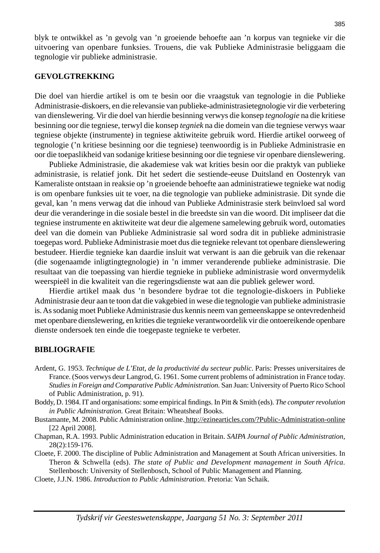blyk te ontwikkel as 'n gevolg van 'n groeiende behoefte aan 'n korpus van tegnieke vir die uitvoering van openbare funksies. Trouens, die vak Publieke Administrasie beliggaam die tegnologie vir publieke administrasie.

#### **GEVOLGTREKKING**

Die doel van hierdie artikel is om te besin oor die vraagstuk van tegnologie in die Publieke Administrasie-diskoers, en die relevansie van publieke-administrasietegnologie vir die verbetering van dienslewering. Vir die doel van hierdie besinning verwys die konsep *tegnologie* na die kritiese besinning oor die tegniese, terwyl die konsep *tegniek* na die domein van die tegniese verwys waar tegniese objekte (instrumente) in tegniese aktiwiteite gebruik word. Hierdie artikel oorweeg of tegnologie ('n kritiese besinning oor die tegniese) teenwoordig is in Publieke Administrasie en oor die toepaslikheid van sodanige kritiese besinning oor die tegniese vir openbare dienslewering.

 Publieke Administrasie, die akademiese vak wat krities besin oor die praktyk van publieke administrasie, is relatief jonk. Dit het sedert die sestiende-eeuse Duitsland en Oostenryk van Kameraliste ontstaan in reaksie op 'n groeiende behoefte aan administratiewe tegnieke wat nodig is om openbare funksies uit te voer, na die tegnologie van publieke administrasie. Dit synde die geval, kan 'n mens verwag dat die inhoud van Publieke Administrasie sterk beïnvloed sal word deur die veranderinge in die sosiale bestel in die breedste sin van die woord. Dit impliseer dat die tegniese instrumente en aktiwiteite wat deur die algemene samelewing gebruik word, outomaties deel van die domein van Publieke Administrasie sal word sodra dit in publieke administrasie toegepas word. Publieke Administrasie moet dus die tegnieke relevant tot openbare dienslewering bestudeer. Hierdie tegnieke kan daardie insluit wat verwant is aan die gebruik van die rekenaar (die sogenaamde inligtingtegnologie) in 'n immer veranderende publieke administrasie. Die resultaat van die toepassing van hierdie tegnieke in publieke administrasie word onvermydelik weerspieël in die kwaliteit van die regeringsdienste wat aan die publiek gelewer word.

 Hierdie artikel maak dus 'n besondere bydrae tot die tegnologie-diskoers in Publieke Administrasie deur aan te toon dat die vakgebied in wese die tegnologie van publieke administrasie is. As sodanig moet Publieke Administrasie dus kennis neem van gemeenskappe se ontevredenheid met openbare dienslewering, en krities die tegnieke verantwoordelik vir die ontoereikende openbare dienste ondersoek ten einde die toegepaste tegnieke te verbeter.

#### **BIBLIOGRAFIE**

- Ardent, G. 1953. *Technique de L'Etat, de la productivité du secteur public*. Paris: Presses universitaires de France. (Soos verwys deur Langrod, G. 1961. Some current problems of administration in France today. *Studies in Foreign and Comparative Public Administration.* San Juan: University of Puerto Rico School of Public Administration, p. 91).
- Boddy, D. 1984. IT and organisations: some empirical findings. In Pitt & Smith (eds). *The computer revolution in Public Administration.* Great Britain: Wheatsheaf Books.
- Bustamante, M. 2008. Public Administration online. http://ezinearticles.com/?Public-Administration-online [22 April 2008].
- Chapman, R.A. 1993. Public Administration education in Britain. *SAIPA Journal of Public Administration,* 28(2):159-176.
- Cloete, F. 2000. The discipline of Public Administration and Management at South African universities. In Theron & Schwella (eds). *The state of Public and Development management in South Africa.* Stellenbosch: University of Stellenbosch, School of Public Management and Planning.
- Cloete, J.J.N. 1986. *Introduction to Public Administration*. Pretoria: Van Schaik.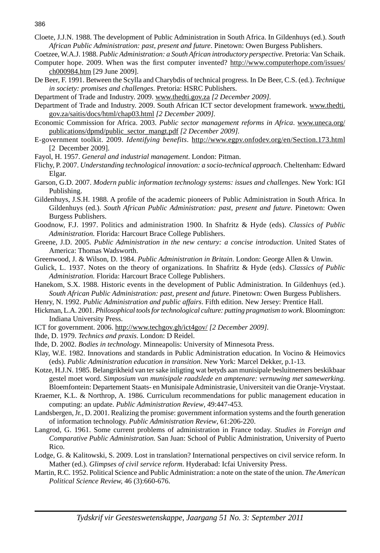Cloete, J.J.N. 1988. The development of Public Administration in South Africa. In Gildenhuys (ed.). *South African Public Administration: past, present and future*. Pinetown: Owen Burgess Publishers.

Coetzee, W.A.J. 1988. *Public Administration: a South African introductory perspective.* Pretoria: Van Schaik.

- Computer hope. 2009. When was the first computer invented? http://www.computerhope.com/issues/ ch000984.htm [29 June 2009].
- De Beer, F. 1991. Between the Scylla and Charybdis of technical progress. In De Beer, C.S. (ed.). *Technique in society: promises and challenges*. Pretoria: HSRC Publishers.
- Department of Trade and Industry. 2009. www.thedti.gov.za *[2 December 2009].*
- Department of Trade and Industry. 2009. South African ICT sector development framework. www.thedti. gov.za/saitis/docs/html/chap03.html *[2 December 2009].*
- Economic Commission for Africa. 2003. *Public sector management reforms in Africa*. www.uneca.org/ publications/dpmd/public\_sector\_mangt.pdf *[2 December 2009].*
- E-government toolkit. 2009. *Identifying benefits*. http://www.egpv.onfodev.org/en/Section.173.html [2 December 2009].
- Fayol, H. 1957. *General and industrial management*. London: Pitman.
- Flichy, P. 2007. *Understanding technological innovation: a socio-technical approach*. Cheltenham: Edward Elgar.
- Garson, G.D. 2007. *Modern public information technology systems: issues and challenges*. New York: IGI Publishing.
- Gildenhuys, J.S.H. 1988. A profile of the academic pioneers of Public Administration in South Africa. In Gildenhuys (ed.). *South African Public Administration: past, present and future*. Pinetown: Owen Burgess Publishers.
- Goodnow, F.J. 1997. Politics and administration 1900. In Shafritz & Hyde (eds). *Classics of Public Administration.* Florida: Harcourt Brace College Publishers.
- Greene, J.D. 2005. *Public Administration in the new century: a concise introduction*. United States of America: Thomas Wadsworth.
- Greenwood, J. & Wilson, D. 1984. *Public Administration in Britain*. London: George Allen & Unwin.
- Gulick, L. 1937. Notes on the theory of organizations. In Shafritz & Hyde (eds). *Classics of Public Administration.* Florida: Harcourt Brace College Publishers.
- Hanekom, S.X. 1988. Historic events in the development of Public Administration. In Gildenhuys (ed.). *South African Public Administration: past, present and future*. Pinetown: Owen Burgess Publishers.
- Henry, N. 1992. *Public Administration and public affairs*. Fifth edition. New Jersey: Prentice Hall.
- Hickman, L.A. 2001. *Philosophical tools for technological culture: putting pragmatism to work*. Bloomington: Indiana University Press.
- ICT for government. 2006. http://www.techgov.gh/ict4gov/ *[2 December 2009].*
- Ihde, D. 1979. *Technics and praxis*. London: D Reidel.
- Ihde, D. 2002. *Bodies in technology*. Minneapolis: University of Minnesota Press.
- Klay, W.E. 1982. Innovations and standards in Public Administration education. In Vocino & Heimovics (eds). *Public Administration education in transition*. New York: Marcel Dekker, p.1-13.
- Kotze, H.J.N. 1985. Belangrikheid van ter sake inligting wat betyds aan munisipale besluitnemers beskikbaar gestel moet word. *Simposium van munisipale raadslede en amptenare: vernuwing met samewerking.*  Bloemfontein: Departement Staats- en Munisipale Administrasie, Universiteit van die Oranje-Vrystaat.
- Kraemer, K.L. & Northrop, A. 1986. Curriculum recommendations for public management education in computing: an update. *Public Administration Review*, 49:447-453.
- Landsbergen, Jr., D. 2001. Realizing the promise: government information systems and the fourth generation of information technology. *Public Administration Review*, 61:206-220.
- Langrod, G. 1961. Some current problems of administration in France today. *Studies in Foreign and Comparative Public Administration.* San Juan: School of Public Administration, University of Puerto Rico.
- Lodge, G. & Kalitowski, S. 2009. Lost in translation? International perspectives on civil service reform. In Mather (ed.). *Glimpses of civil service reform*. Hyderabad: Icfai University Press.
- Martin, R.C. 1952. Political Science and Public Administration: a note on the state of the union. *The American Political Science Review,* 46 (3):660-676.